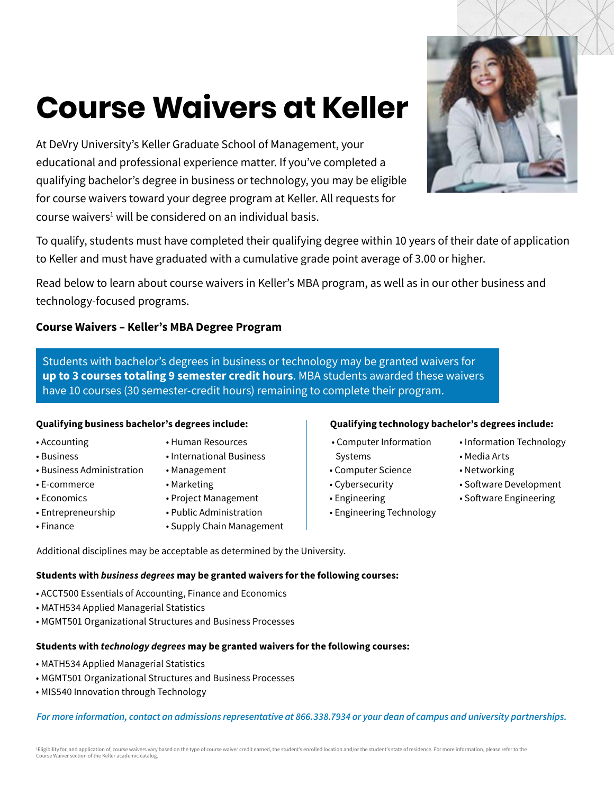# **Course Waivers at Keller**

At DeVry University's Keller Graduate School of Management, your educational and professional experience matter. If you've completed a qualifying bachelor's degree in business or technology, you may be eligible for course waivers toward your degree program at Keller. All requests for course waivers<sup>1</sup> will be considered on an individual basis.



To qualify, students must have completed their qualifying degree within 10 years of their date of application to Keller and must have graduated with a cumulative grade point average of 3.00 or higher.

Read below to learn about course waivers in Keller's MBA program, as well as in our other business and technology-focused programs.

# **Course Waivers – Keller's MBA Degree Program**

Students with bachelor's degrees in business or technology may be granted waivers for **up to 3 courses totaling 9 semester credit hours**. MBA students awarded these waivers have 10 courses (30 semester-credit hours) remaining to complete their program.

- Accounting
- Business
- Business Administration
- E-commerce
- Economics
- Entrepreneurship
- Finance
- Human Resources
- International Business
- Management
- Marketing
- Project Management
- Public Administration • Supply Chain Management

### **Qualifying business bachelor's degrees include: Qualifying technology bachelor's degrees include:**

- Computer Information Systems
- Computer Science
- Cybersecurity
- Engineering
- Engineering Technology
- Information Technology
- Media Arts
- Networking
- Software Development
- Software Engineering

Additional disciplines may be acceptable as determined by the University.

# **Students with** *business degrees* **may be granted waivers for the following courses:**

- ACCT500 Essentials of Accounting, Finance and Economics
- MATH534 Applied Managerial Statistics
- MGMT501 Organizational Structures and Business Processes

# **Students with** *technology degrees* **may be granted waivers for the following courses:**

- MATH534 Applied Managerial Statistics
- MGMT501 Organizational Structures and Business Processes
- MIS540 Innovation through Technology

*For more information, contact an admissions representative at 866.338.7934 or your dean of campus and university partnerships.*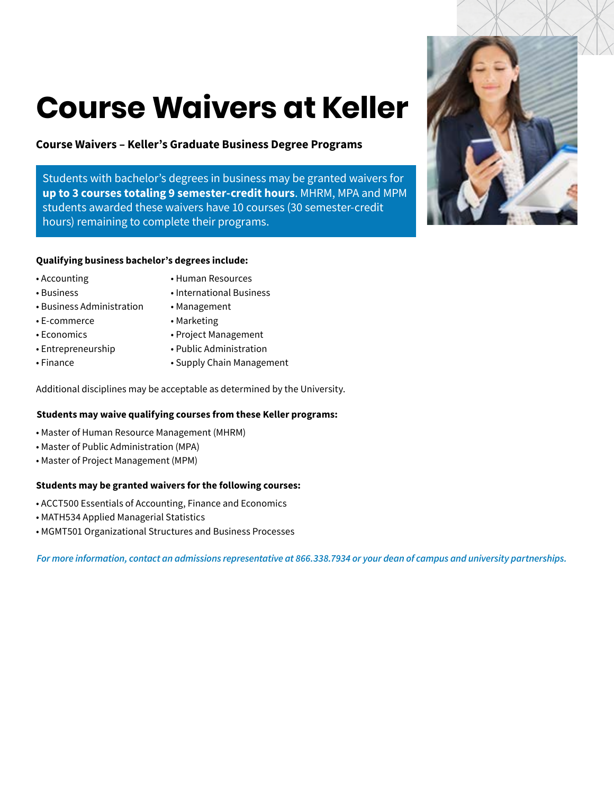# **Course Waivers at Keller**

# **Course Waivers – Keller's Graduate Business Degree Programs**

Students with bachelor's degrees in business may be granted waivers for **up to 3 courses totaling 9 semester-credit hours**. MHRM, MPA and MPM students awarded these waivers have 10 courses (30 semester-credit hours) remaining to complete their programs.

#### **Qualifying business bachelor's degrees include:**

- Accounting
- Human Resources
- Business
- Business Administration
- E-commerce
- Economics
- Entrepreneurship
- Finance
- 
- International Business
- Management
	- Marketing
	- Project Management
	- Public Administration
	- Supply Chain Management

Additional disciplines may be acceptable as determined by the University.

#### **Students may waive qualifying courses from these Keller programs:**

- Master of Human Resource Management (MHRM)
- Master of Public Administration (MPA)
- Master of Project Management (MPM)

#### **Students may be granted waivers for the following courses:**

- ACCT500 Essentials of Accounting, Finance and Economics
- MATH534 Applied Managerial Statistics
- MGMT501 Organizational Structures and Business Processes

*For more information, contact an admissions representative at 866.338.7934 or your dean of campus and university partnerships.*